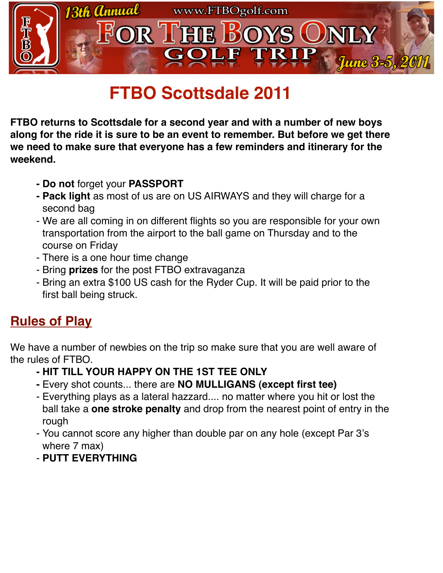

# **FTBO Scottsdale 2011**

**FTBO returns to Scottsdale for a second year and with a number of new boys along for the ride it is sure to be an event to remember. But before we get there we need to make sure that everyone has a few reminders and itinerary for the weekend.** 

- **- Do not** forget your **PASSPORT**
- **- Pack light** as most of us are on US AIRWAYS and they will charge for a second bag
- We are all coming in on different flights so you are responsible for your own transportation from the airport to the ball game on Thursday and to the course on Friday
- There is a one hour time change
- Bring **prizes** for the post FTBO extravaganza
- Bring an extra \$100 US cash for the Ryder Cup. It will be paid prior to the first ball being struck.

## **Rules of Play**

We have a number of newbies on the trip so make sure that you are well aware of the rules of FTBO.

- **- HIT TILL YOUR HAPPY ON THE 1ST TEE ONLY**
- **-** Every shot counts... there are **NO MULLIGANS (except first tee)**
- Everything plays as a lateral hazzard.... no matter where you hit or lost the ball take a **one stroke penalty** and drop from the nearest point of entry in the rough
- You cannot score any higher than double par on any hole (except Par 3's where 7 max)
- **PUTT EVERYTHING**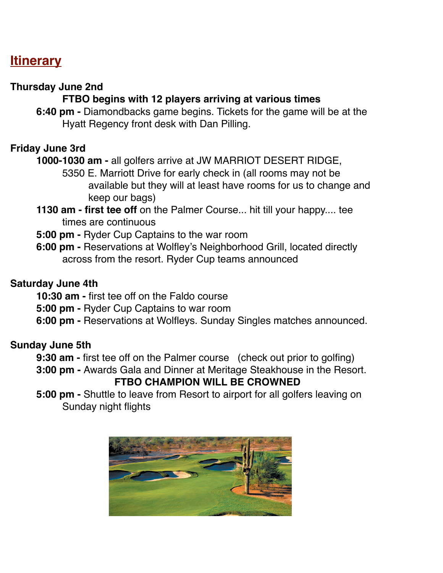### **Itinerary**

### **Thursday June 2nd**

### **FTBO begins with 12 players arriving at various times**

**6:40 pm -** Diamondbacks game begins. Tickets for the game will be at the Hyatt Regency front desk with Dan Pilling.

### **Friday June 3rd**

#### **1000-1030 am -** all golfers arrive at JW MARRIOT DESERT RIDGE,

- 5350 E. Marriott Drive for early check in (all rooms may not be 
available but they will at least have rooms for us to change and 
keep our bags)
- **1130 am first tee off** on the Palmer Course... hit till your happy.... tee times are continuous
- **5:00 pm** Ryder Cup Captains to the war room
- **6:00 pm** Reservations at Wolfley's Neighborhood Grill, located directly across from the resort. Ryder Cup teams announced

#### **Saturday June 4th**

**10:30 am -** first tee off on the Faldo course

**5:00 pm -** Ryder Cup Captains to war room

**6:00 pm -** Reservations at Wolfleys. Sunday Singles matches announced.

### **Sunday June 5th**

**9:30 am -** first tee off on the Palmer course (check out prior to golfing)

**3:00 pm -** Awards Gala and Dinner at Meritage Steakhouse in the Resort.

### **FTBO CHAMPION WILL BE CROWNED**

**5:00 pm -** Shuttle to leave from Resort to airport for all golfers leaving on Sunday night flights

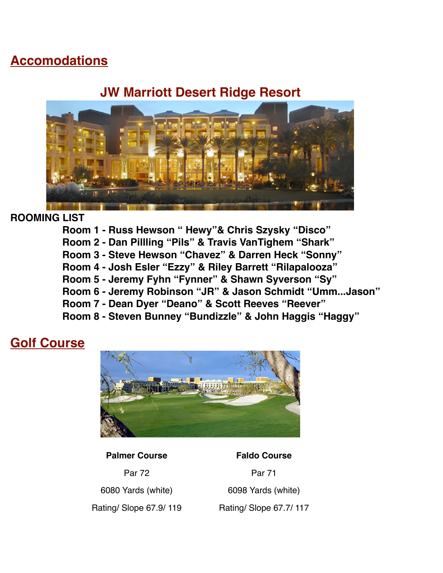### **Accomodations**

### **[JW Marriott Desert Ridge Resort](http://www.camelbackinn.com/)**



### **ROOMING LIST**

- **Room 1 Russ Hewson " Hewy"& Chris Szysky "Disco"**
- **Room 2 Dan Pillling "Pils" & Travis VanTighem "Shark"**
- **Room 3 Steve Hewson "Chavez" & Darren Heck "Sonny"**
- **Room 4 Josh Esler "Ezzy" & Riley Barrett "Rilapalooza"**
- **Room 5 Jeremy Fyhn "Fynner" & Shawn Syverson "Sy"**
- **Room 6 Jeremy Robinson "JR" & Jason Schmidt "Umm...Jason"**
- **Room 7 Dean Dyer "Deano" & Scott Reeves "Reever"**
- **Room 8 Steven Bunney "Bundizzle" & John Haggis "Haggy"**

### **Golf Course**



#### **Palmer Course Faldo Course**

Par 72 Par 71 6080 Yards (white) 6098 Yards (white) Rating/ Slope 67.9/ 119 Rating/ Slope 67.7/ 117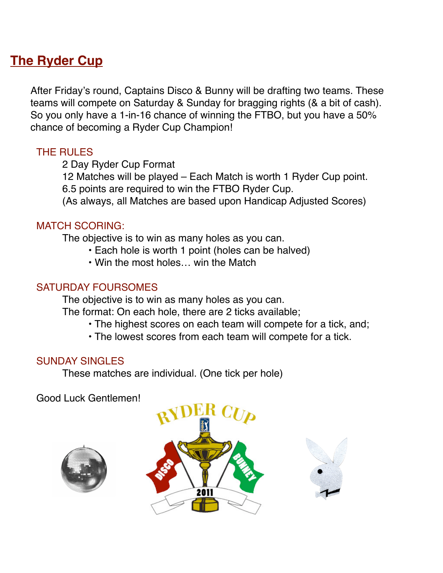### **The Ryder Cup**

After Friday's round, Captains Disco & Bunny will be drafting two teams. These teams will compete on Saturday & Sunday for bragging rights (& a bit of cash). So you only have a 1-in-16 chance of winning the FTBO, but you have a 50% chance of becoming a Ryder Cup Champion!

### THE RULES

2 Day Ryder Cup Format

 12 Matches will be played – Each Match is worth 1 Ryder Cup point. 6.5 points are required to win the FTBO Ryder Cup.

(As always, all Matches are based upon Handicap Adjusted Scores)

### MATCH SCORING:

The objective is to win as many holes as you can.

- Each hole is worth 1 point (holes can be halved)
- Win the most holes… win the Match

### SATURDAY FOURSOMES

 The objective is to win as many holes as you can. The format: On each hole, there are 2 ticks available;

- The highest scores on each team will compete for a tick, and;
- The lowest scores from each team will compete for a tick.

### SUNDAY SINGLES

These matches are individual. (One tick per hole)

Good Luck Gentlemen!





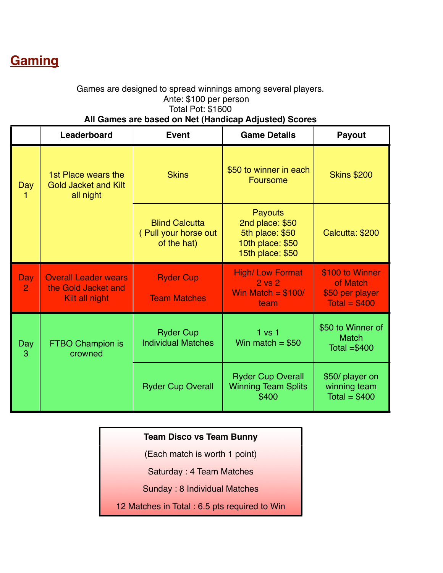## **Gaming**

#### Games are designed to spread winnings among several players. Ante: \$100 per person Total Pot: \$1600 **All Games are based on Net (Handicap Adjusted) Scores**

|                              | Leaderboard                                                          | <b>Event</b>                                                 | <b>Game Details</b>                                                                          | <b>Payout</b>                                                    |
|------------------------------|----------------------------------------------------------------------|--------------------------------------------------------------|----------------------------------------------------------------------------------------------|------------------------------------------------------------------|
| Day                          | 1st Place wears the<br><b>Gold Jacket and Kilt</b><br>all night      | <b>Skins</b>                                                 | \$50 to winner in each<br>Foursome                                                           | <b>Skins \$200</b>                                               |
|                              |                                                                      | <b>Blind Calcutta</b><br>(Pull your horse out<br>of the hat) | <b>Payouts</b><br>2nd place: \$50<br>5th place: \$50<br>10th place: \$50<br>15th place: \$50 | Calcutta: \$200                                                  |
| <b>Day</b><br>$\overline{2}$ | <b>Overall Leader wears</b><br>the Gold Jacket and<br>Kilt all night | <b>Ryder Cup</b><br><b>Team Matches</b>                      | <b>High/ Low Format</b><br>$2$ vs $2$<br>Win Match = $$100/$<br>team                         | \$100 to Winner<br>of Match<br>\$50 per player<br>Total = $$400$ |
| Day<br>3                     | <b>FTBO Champion is</b><br>crowned                                   | <b>Ryder Cup</b><br><b>Individual Matches</b>                | 1 <sub>vs</sub> 1<br>Win match = $$50$                                                       | \$50 to Winner of<br><b>Match</b><br>Total $= $400$              |
|                              |                                                                      | <b>Ryder Cup Overall</b>                                     | <b>Ryder Cup Overall</b><br><b>Winning Team Splits</b><br>\$400                              | \$50/ player on<br>winning team<br>Total = $$400$                |

### **Team Disco vs Team Bunny**

(Each match is worth 1 point)

Saturday : 4 Team Matches

Sunday : 8 Individual Matches

12 Matches in Total : 6.5 pts required to Win